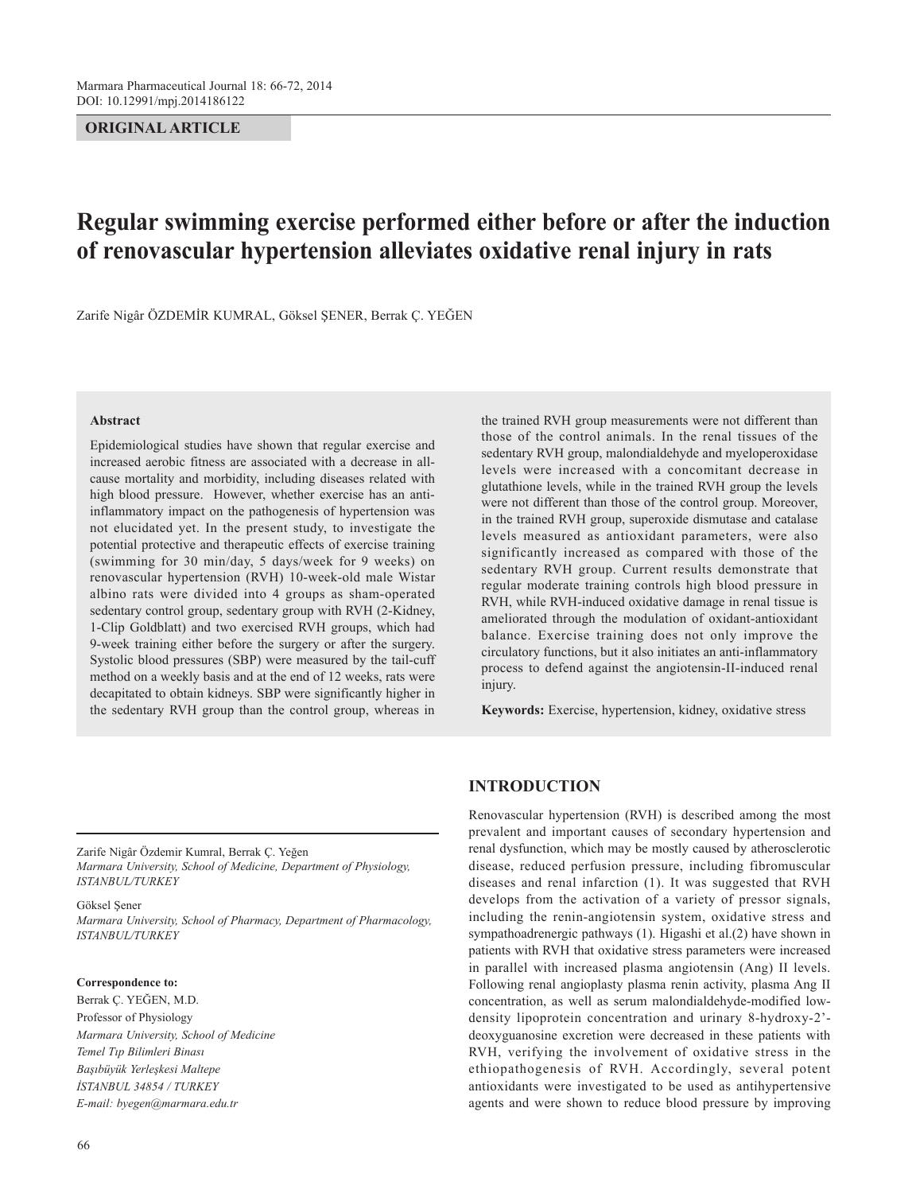# **ORIGINAL ARTICLE**

# **Regular swimming exercise performed either before or after the induction of renovascular hypertension alleviates oxidative renal injury in rats**

Zarife Nigâr ÖZDEMİR KUMRAL, Göksel ŞENER, Berrak Ç. YEĞEN

#### **Abstract**

Epidemiological studies have shown that regular exercise and increased aerobic fitness are associated with a decrease in allcause mortality and morbidity, including diseases related with high blood pressure. However, whether exercise has an antiinflammatory impact on the pathogenesis of hypertension was not elucidated yet. In the present study, to investigate the potential protective and therapeutic effects of exercise training (swimming for 30 min/day, 5 days/week for 9 weeks) on renovascular hypertension (RVH) 10-week-old male Wistar albino rats were divided into 4 groups as sham-operated sedentary control group, sedentary group with RVH (2-Kidney, 1-Clip Goldblatt) and two exercised RVH groups, which had 9-week training either before the surgery or after the surgery. Systolic blood pressures (SBP) were measured by the tail-cuff method on a weekly basis and at the end of 12 weeks, rats were decapitated to obtain kidneys. SBP were significantly higher in the sedentary RVH group than the control group, whereas in

the trained RVH group measurements were not different than those of the control animals. In the renal tissues of the sedentary RVH group, malondialdehyde and myeloperoxidase levels were increased with a concomitant decrease in glutathione levels, while in the trained RVH group the levels were not different than those of the control group. Moreover, in the trained RVH group, superoxide dismutase and catalase levels measured as antioxidant parameters, were also significantly increased as compared with those of the sedentary RVH group. Current results demonstrate that regular moderate training controls high blood pressure in RVH, while RVH-induced oxidative damage in renal tissue is ameliorated through the modulation of oxidant-antioxidant balance. Exercise training does not only improve the circulatory functions, but it also initiates an anti-inflammatory process to defend against the angiotensin-II-induced renal injury.

**Keywords:** Exercise, hypertension, kidney, oxidative stress

Zarife Nigâr Özdemir Kumral, Berrak Ç. Yeğen *Marmara University, School of Medicine, Department of Physiology, ISTANBUL/TURKEY*

Göksel Şener

*Marmara University, School of Pharmacy, Department of Pharmacology, ISTANBUL/TURKEY*

### **Correspondence to:**

Berrak Ç. YEĞEN, M.D. Professor of Physiology *Marmara University, School of Medicine Temel Tıp Bilimleri Binası Başıbüyük Yerleşkesi Maltepe İSTANBUL 34854 / TURKEY E-mail: byegen@marmara.edu.tr*

# **INTRODUCTION**

Renovascular hypertension (RVH) is described among the most prevalent and important causes of secondary hypertension and renal dysfunction, which may be mostly caused by atherosclerotic disease, reduced perfusion pressure, including fibromuscular diseases and renal infarction (1). It was suggested that RVH develops from the activation of a variety of pressor signals, including the renin-angiotensin system, oxidative stress and sympathoadrenergic pathways (1). Higashi et al.(2) have shown in patients with RVH that oxidative stress parameters were increased in parallel with increased plasma angiotensin (Ang) II levels. Following renal angioplasty plasma renin activity, plasma Ang II concentration, as well as serum malondialdehyde-modified lowdensity lipoprotein concentration and urinary 8-hydroxy-2' deoxyguanosine excretion were decreased in these patients with RVH, verifying the involvement of oxidative stress in the ethiopathogenesis of RVH. Accordingly, several potent antioxidants were investigated to be used as antihypertensive agents and were shown to reduce blood pressure by improving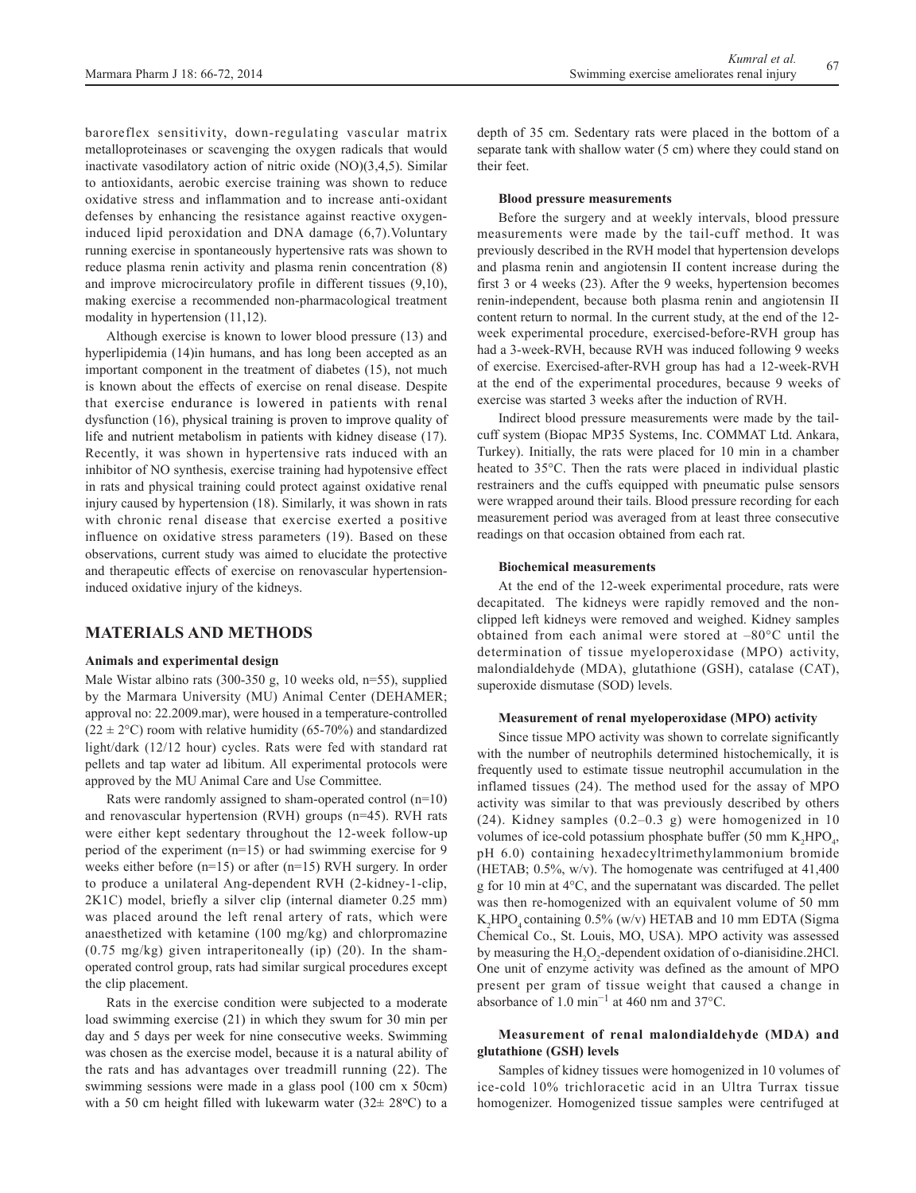baroreflex sensitivity, down-regulating vascular matrix metalloproteinases or scavenging the oxygen radicals that would inactivate vasodilatory action of nitric oxide (NO)(3,4,5). Similar to antioxidants, aerobic exercise training was shown to reduce oxidative stress and inflammation and to increase anti-oxidant defenses by enhancing the resistance against reactive oxygeninduced lipid peroxidation and DNA damage (6,7).Voluntary running exercise in spontaneously hypertensive rats was shown to reduce plasma renin activity and plasma renin concentration (8) and improve microcirculatory profile in different tissues (9,10), making exercise a recommended non-pharmacological treatment modality in hypertension (11,12).

Although exercise is known to lower blood pressure (13) and hyperlipidemia (14)in humans, and has long been accepted as an important component in the treatment of diabetes (15), not much is known about the effects of exercise on renal disease. Despite that exercise endurance is lowered in patients with renal dysfunction (16), physical training is proven to improve quality of life and nutrient metabolism in patients with kidney disease (17). Recently, it was shown in hypertensive rats induced with an inhibitor of NO synthesis, exercise training had hypotensive effect in rats and physical training could protect against oxidative renal injury caused by hypertension (18). Similarly, it was shown in rats with chronic renal disease that exercise exerted a positive influence on oxidative stress parameters (19). Based on these observations, current study was aimed to elucidate the protective and therapeutic effects of exercise on renovascular hypertensioninduced oxidative injury of the kidneys.

# **MATERIALS AND METHODS**

#### **Animals and experimental design**

Male Wistar albino rats (300-350 g, 10 weeks old, n=55), supplied by the Marmara University (MU) Animal Center (DEHAMER; approval no: 22.2009.mar), were housed in a temperature-controlled  $(22 \pm 2^{\circ}C)$  room with relative humidity (65-70%) and standardized light/dark (12/12 hour) cycles. Rats were fed with standard rat pellets and tap water ad libitum. All experimental protocols were approved by the MU Animal Care and Use Committee.

Rats were randomly assigned to sham-operated control  $(n=10)$ and renovascular hypertension (RVH) groups (n=45). RVH rats were either kept sedentary throughout the 12-week follow-up period of the experiment (n=15) or had swimming exercise for 9 weeks either before (n=15) or after (n=15) RVH surgery. In order to produce a unilateral Ang-dependent RVH (2-kidney-1-clip, 2K1C) model, briefly a silver clip (internal diameter 0.25 mm) was placed around the left renal artery of rats, which were anaesthetized with ketamine (100 mg/kg) and chlorpromazine  $(0.75 \text{ mg/kg})$  given intraperitoneally (ip) (20). In the shamoperated control group, rats had similar surgical procedures except the clip placement.

Rats in the exercise condition were subjected to a moderate load swimming exercise (21) in which they swum for 30 min per day and 5 days per week for nine consecutive weeks. Swimming was chosen as the exercise model, because it is a natural ability of the rats and has advantages over treadmill running (22). The swimming sessions were made in a glass pool (100 cm x 50cm) with a 50 cm height filled with lukewarm water  $(32 \pm 28$ <sup>o</sup>C) to a depth of 35 cm. Sedentary rats were placed in the bottom of a separate tank with shallow water (5 cm) where they could stand on their feet.

#### **Blood pressure measurements**

Before the surgery and at weekly intervals, blood pressure measurements were made by the tail-cuff method. It was previously described in the RVH model that hypertension develops and plasma renin and angiotensin II content increase during the first 3 or 4 weeks (23). After the 9 weeks, hypertension becomes renin-independent, because both plasma renin and angiotensin II content return to normal. In the current study, at the end of the 12 week experimental procedure, exercised-before-RVH group has had a 3-week-RVH, because RVH was induced following 9 weeks of exercise. Exercised-after-RVH group has had a 12-week-RVH at the end of the experimental procedures, because 9 weeks of exercise was started 3 weeks after the induction of RVH.

Indirect blood pressure measurements were made by the tailcuff system (Biopac MP35 Systems, Inc. COMMAT Ltd. Ankara, Turkey). Initially, the rats were placed for 10 min in a chamber heated to 35°C. Then the rats were placed in individual plastic restrainers and the cuffs equipped with pneumatic pulse sensors were wrapped around their tails. Blood pressure recording for each measurement period was averaged from at least three consecutive readings on that occasion obtained from each rat.

#### **Biochemical measurements**

At the end of the 12-week experimental procedure, rats were decapitated. The kidneys were rapidly removed and the nonclipped left kidneys were removed and weighed. Kidney samples obtained from each animal were stored at –80°C until the determination of tissue myeloperoxidase (MPO) activity, malondialdehyde (MDA), glutathione (GSH), catalase (CAT), superoxide dismutase (SOD) levels.

#### **Measurement of renal myeloperoxidase (MPO) activity**

Since tissue MPO activity was shown to correlate significantly with the number of neutrophils determined histochemically, it is frequently used to estimate tissue neutrophil accumulation in the inflamed tissues (24). The method used for the assay of MPO activity was similar to that was previously described by others (24). Kidney samples (0.2–0.3 g) were homogenized in 10 volumes of ice-cold potassium phosphate buffer (50 mm  $K_2{\text{HPO}}_4$ , pH 6.0) containing hexadecyltrimethylammonium bromide (HETAB; 0.5%, w/v). The homogenate was centrifuged at 41,400 g for 10 min at 4°C, and the supernatant was discarded. The pellet was then re-homogenized with an equivalent volume of 50 mm  $K_2$ HPO<sub>4</sub> containing 0.5% (w/v) HETAB and 10 mm EDTA (Sigma Chemical Co., St. Louis, MO, USA). MPO activity was assessed by measuring the  $H_2O_2$ -dependent oxidation of o-dianisidine.2HCl. One unit of enzyme activity was defined as the amount of MPO present per gram of tissue weight that caused a change in absorbance of 1.0 min−1 at 460 nm and 37°C.

## **Measurement of renal malondialdehyde (MDA) and glutathione (GSH) levels**

Samples of kidney tissues were homogenized in 10 volumes of ice-cold 10% trichloracetic acid in an Ultra Turrax tissue homogenizer. Homogenized tissue samples were centrifuged at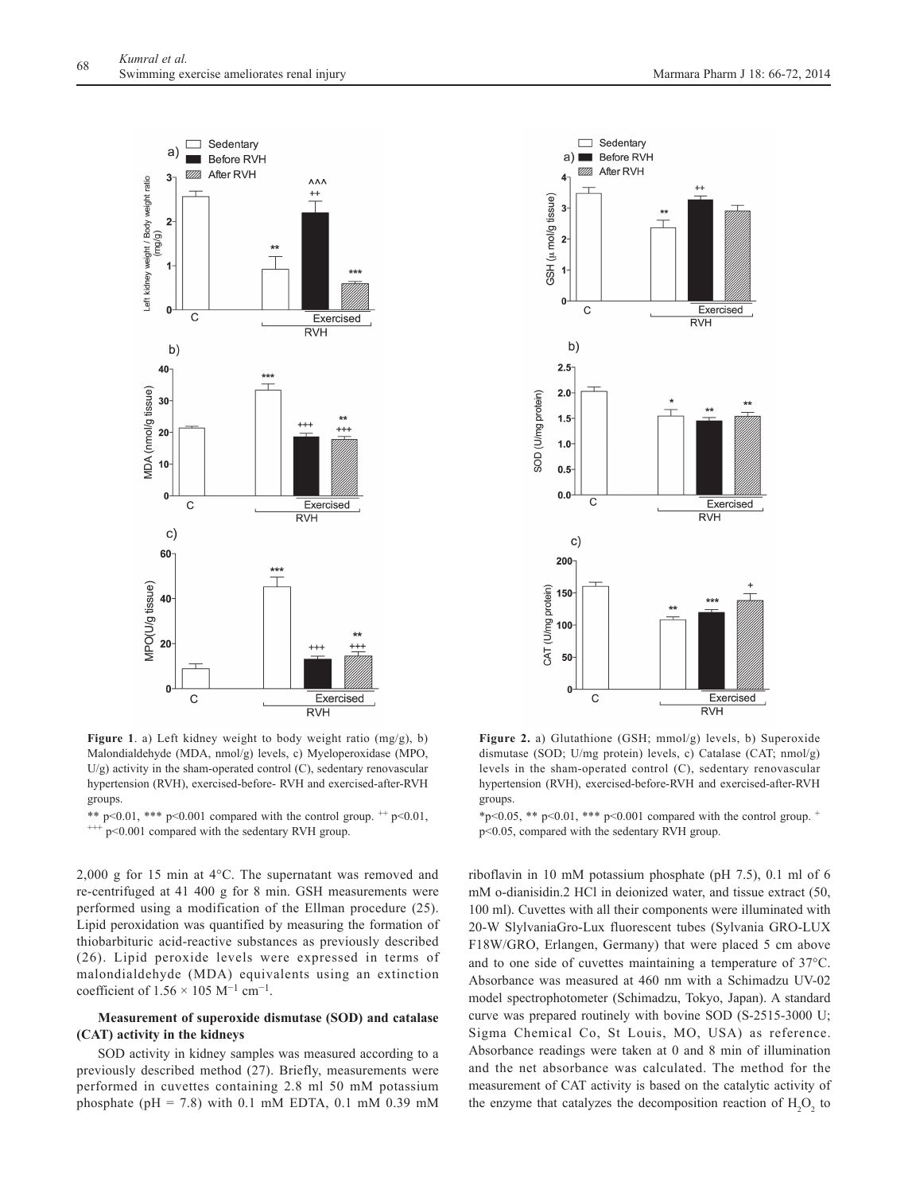

**Figure 1**. a) Left kidney weight to body weight ratio (mg/g), b) Malondialdehyde (MDA, nmol/g) levels, c) Myeloperoxidase (MPO, U/g) activity in the sham-operated control (C), sedentary renovascular hypertension (RVH), exercised-before- RVH and exercised-after-RVH groups.

\*\* p<0.01, \*\*\* p<0.001 compared with the control group.  $^{++}$  p<0.01,  $^{++}$  p<0.001 compared with the sedentary RVH group.

2,000 g for 15 min at 4°C. The supernatant was removed and re-centrifuged at 41 400 g for 8 min. GSH measurements were performed using a modification of the Ellman procedure (25). Lipid peroxidation was quantified by measuring the formation of thiobarbituric acid-reactive substances as previously described (26). Lipid peroxide levels were expressed in terms of malondialdehyde (MDA) equivalents using an extinction coefficient of  $1.56 \times 105$  M<sup>-1</sup> cm<sup>-1</sup>.

## **Measurement of superoxide dismutase (SOD) and catalase (CAT) activity in the kidneys**

SOD activity in kidney samples was measured according to a previously described method (27). Briefly, measurements were performed in cuvettes containing 2.8 ml 50 mM potassium phosphate (pH = 7.8) with 0.1 mM EDTA, 0.1 mM 0.39 mM



**Figure 2.** a) Glutathione (GSH; mmol/g) levels, b) Superoxide dismutase (SOD; U/mg protein) levels, c) Catalase (CAT; nmol/g) levels in the sham-operated control (C), sedentary renovascular hypertension (RVH), exercised-before-RVH and exercised-after-RVH groups.

\*p<0.05, \*\* p<0.01, \*\*\* p<0.001 compared with the control group.  $\pm$ p<0.05, compared with the sedentary RVH group.

riboflavin in 10 mM potassium phosphate (pH 7.5), 0.1 ml of 6 mM o-dianisidin.2 HCl in deionized water, and tissue extract (50, 100 ml). Cuvettes with all their components were illuminated with 20-W SlylvaniaGro-Lux fluorescent tubes (Sylvania GRO-LUX F18W/GRO, Erlangen, Germany) that were placed 5 cm above and to one side of cuvettes maintaining a temperature of 37°C. Absorbance was measured at 460 nm with a Schimadzu UV-02 model spectrophotometer (Schimadzu, Tokyo, Japan). A standard curve was prepared routinely with bovine SOD (S-2515-3000 U; Sigma Chemical Co, St Louis, MO, USA) as reference. Absorbance readings were taken at 0 and 8 min of illumination and the net absorbance was calculated. The method for the measurement of CAT activity is based on the catalytic activity of the enzyme that catalyzes the decomposition reaction of  $H_2O_2$  to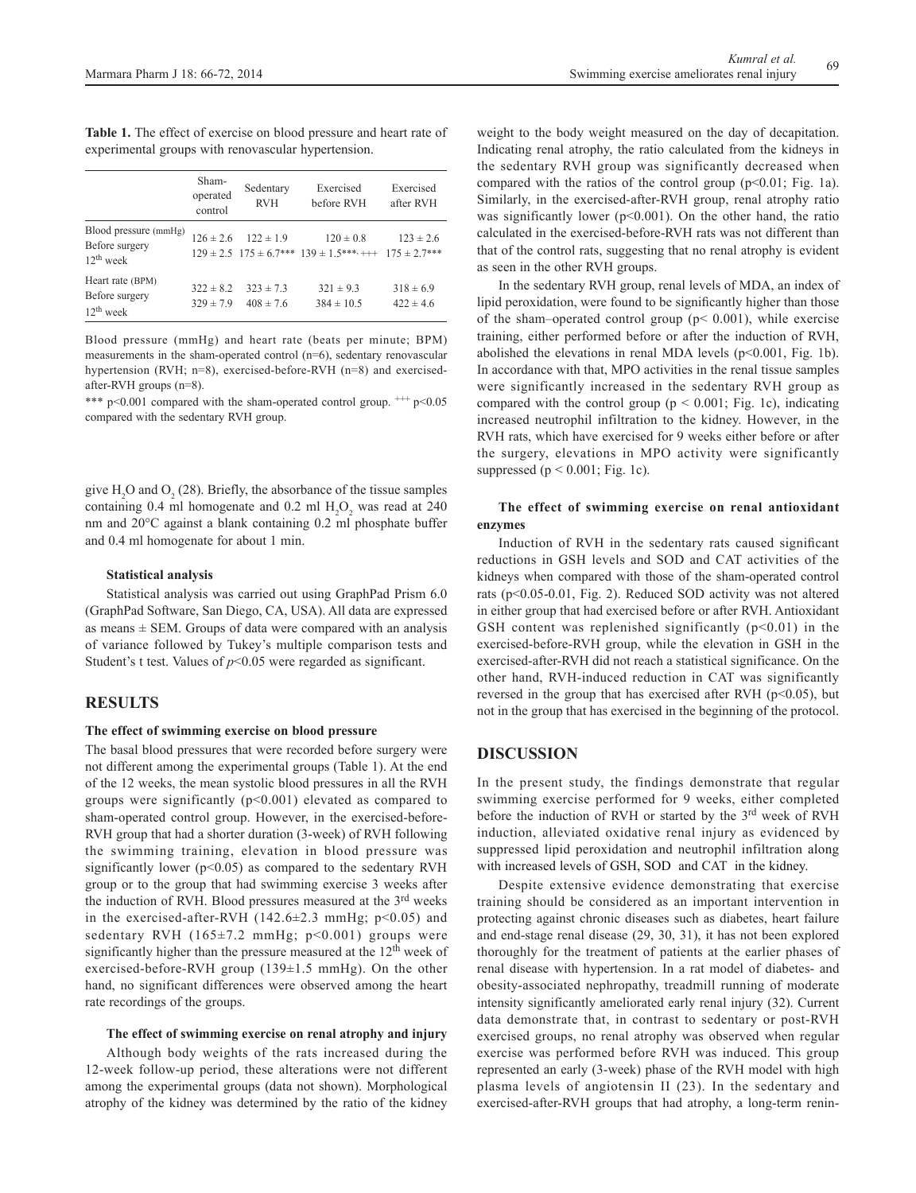Table 1. The effect of exercise on blood pressure and heart rate of experimental groups with renovascular hypertension.

|                                                        | Sham-<br>operated<br>control   | Sedentary<br><b>RVH</b>        | Exercised<br>before RVH                                                                   | Exercised<br>after RVH         |
|--------------------------------------------------------|--------------------------------|--------------------------------|-------------------------------------------------------------------------------------------|--------------------------------|
| Blood pressure (mmHg)<br>Before surgery<br>$12th$ week | $126 \pm 2.6$                  | $122 \pm 1.9$                  | $120 \pm 0.8$<br>$129 \pm 2.5$ $175 \pm 6.7$ *** $139 \pm 1.5$ ***, +++ $175 \pm 2.7$ *** | $123 \pm 2.6$                  |
| Heart rate (BPM)<br>Before surgery<br>$12^{th}$ week   | $322 \pm 8.2$<br>$329 \pm 7.9$ | $323 \pm 7.3$<br>$408 \pm 7.6$ | $321 \pm 9.3$<br>$384 \pm 10.5$                                                           | $318 \pm 6.9$<br>$422 \pm 4.6$ |

Blood pressure (mmHg) and heart rate (beats per minute; BPM) measurements in the sham-operated control (n=6), sedentary renovascular hypertension (RVH; n=8), exercised-before-RVH (n=8) and exercisedafter-RVH groups (n=8).

\*\*\*  $p<0.001$  compared with the sham-operated control group.  $^{+++}p<0.05$ compared with the sedentary RVH group.

give  $H_2O$  and  $O_2(28)$ . Briefly, the absorbance of the tissue samples containing 0.4 ml homogenate and 0.2 ml  $H_2O_2$  was read at 240 nm and 20°C against a blank containing 0.2 ml phosphate buffer and 0.4 ml homogenate for about 1 min.

## **Statistical analysis**

Statistical analysis was carried out using GraphPad Prism 6.0 (GraphPad Software, San Diego, CA, USA). All data are expressed as means  $\pm$  SEM. Groups of data were compared with an analysis of variance followed by Tukey's multiple comparison tests and Student's t test. Values of  $p<0.05$  were regarded as significant.

# **RESULTS**

## **The effect of swimming exercise on blood pressure**

The basal blood pressures that were recorded before surgery were not different among the experimental groups (Table 1). At the end of the 12 weeks, the mean systolic blood pressures in all the RVH groups were significantly (p<0.001) elevated as compared to sham-operated control group. However, in the exercised-before-RVH group that had a shorter duration (3-week) of RVH following the swimming training, elevation in blood pressure was significantly lower ( $p<0.05$ ) as compared to the sedentary RVH group or to the group that had swimming exercise 3 weeks after the induction of RVH. Blood pressures measured at the 3<sup>rd</sup> weeks in the exercised-after-RVH  $(142.6 \pm 2.3 \text{ mmHg}; \text{p} < 0.05)$  and sedentary RVH  $(165\pm7.2 \text{ mmHg}; \text{p} < 0.001)$  groups were significantly higher than the pressure measured at the 12<sup>th</sup> week of exercised-before-RVH group (139±1.5 mmHg). On the other hand, no significant differences were observed among the heart rate recordings of the groups.

#### **The effect of swimming exercise on renal atrophy and injury**

Although body weights of the rats increased during the 12-week follow-up period, these alterations were not different among the experimental groups (data not shown). Morphological atrophy of the kidney was determined by the ratio of the kidney weight to the body weight measured on the day of decapitation. Indicating renal atrophy, the ratio calculated from the kidneys in the sedentary RVH group was significantly decreased when compared with the ratios of the control group  $(p<0.01$ ; Fig. 1a). Similarly, in the exercised-after-RVH group, renal atrophy ratio was significantly lower ( $p<0.001$ ). On the other hand, the ratio calculated in the exercised-before-RVH rats was not different than that of the control rats, suggesting that no renal atrophy is evident as seen in the other RVH groups.

In the sedentary RVH group, renal levels of MDA, an index of lipid peroxidation, were found to be significantly higher than those of the sham–operated control group ( $p$  < 0.001), while exercise training, either performed before or after the induction of RVH, abolished the elevations in renal MDA levels (p<0.001, Fig. 1b). In accordance with that, MPO activities in the renal tissue samples were significantly increased in the sedentary RVH group as compared with the control group ( $p < 0.001$ ; Fig. 1c), indicating increased neutrophil infiltration to the kidney. However, in the RVH rats, which have exercised for 9 weeks either before or after the surgery, elevations in MPO activity were significantly suppressed ( $p < 0.001$ ; Fig. 1c).

## **The effect of swimming exercise on renal antioxidant enzymes**

Induction of RVH in the sedentary rats caused significant reductions in GSH levels and SOD and CAT activities of the kidneys when compared with those of the sham-operated control rats (p<0.05-0.01, Fig. 2). Reduced SOD activity was not altered in either group that had exercised before or after RVH. Antioxidant GSH content was replenished significantly  $(p<0.01)$  in the exercised-before-RVH group, while the elevation in GSH in the exercised-after-RVH did not reach a statistical significance. On the other hand, RVH-induced reduction in CAT was significantly reversed in the group that has exercised after RVH ( $p<0.05$ ), but not in the group that has exercised in the beginning of the protocol.

# **DISCUSSION**

In the present study, the findings demonstrate that regular swimming exercise performed for 9 weeks, either completed before the induction of RVH or started by the 3rd week of RVH induction, alleviated oxidative renal injury as evidenced by suppressed lipid peroxidation and neutrophil infiltration along with increased levels of GSH, SOD and CAT in the kidney.

Despite extensive evidence demonstrating that exercise training should be considered as an important intervention in protecting against chronic diseases such as diabetes, heart failure and end-stage renal disease (29, 30, 31), it has not been explored thoroughly for the treatment of patients at the earlier phases of renal disease with hypertension. In a rat model of diabetes- and obesity-associated nephropathy, treadmill running of moderate intensity significantly ameliorated early renal injury (32). Current data demonstrate that, in contrast to sedentary or post-RVH exercised groups, no renal atrophy was observed when regular exercise was performed before RVH was induced. This group represented an early (3-week) phase of the RVH model with high plasma levels of angiotensin II (23). In the sedentary and exercised-after-RVH groups that had atrophy, a long-term renin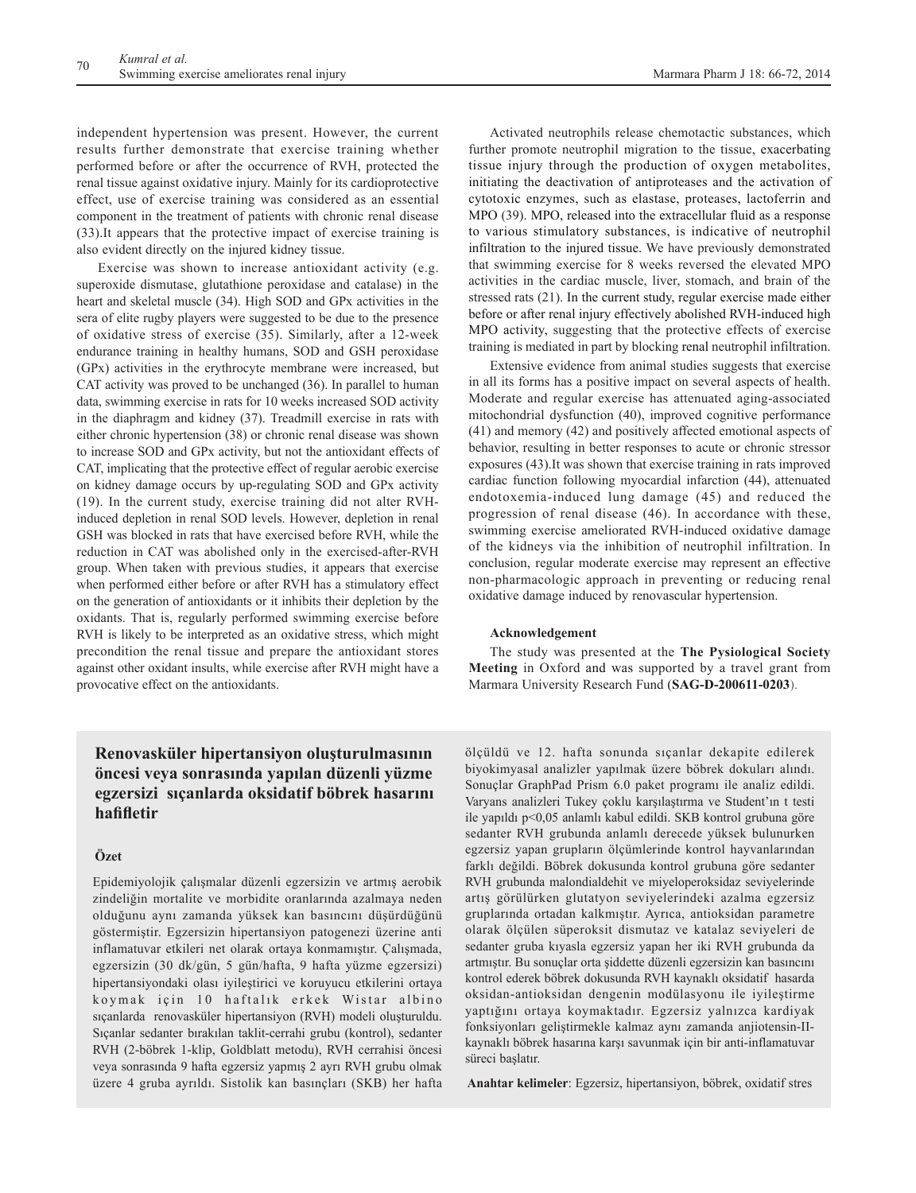independent hypertension was present. However, the current results further demonstrate that exercise training whether performed before or after the occurrence of RVH, protected the renal tissue against oxidative injury. Mainly for its cardioprotective effect, use of exercise training was considered as an essential component in the treatment of patients with chronic renal disease (33).It appears that the protective impact of exercise training is also evident directly on the injured kidney tissue.

Exercise was shown to increase antioxidant activity (e.g. superoxide dismutase, glutathione peroxidase and catalase) in the heart and skeletal muscle (34). High SOD and GPx activities in the sera of elite rugby players were suggested to be due to the presence of oxidative stress of exercise (35). Similarly, after a 12-week endurance training in healthy humans, SOD and GSH peroxidase (GPx) activities in the erythrocyte membrane were increased, but CAT activity was proved to be unchanged (36). In parallel to human data, swimming exercise in rats for 10 weeks increased SOD activity in the diaphragm and kidney (37). Treadmill exercise in rats with either chronic hypertension (38) or chronic renal disease was shown to increase SOD and GPx activity, but not the antioxidant effects of CAT, implicating that the protective effect of regular aerobic exercise on kidney damage occurs by up-regulating SOD and GPx activity (19). In the current study, exercise training did not alter RVHinduced depletion in renal SOD levels. However, depletion in renal GSH was blocked in rats that have exercised before RVH, while the reduction in CAT was abolished only in the exercised-after-RVH group. When taken with previous studies, it appears that exercise when performed either before or after RVH has a stimulatory effect on the generation of antioxidants or it inhibits their depletion by the oxidants. That is, regularly performed swimming exercise before RVH is likely to be interpreted as an oxidative stress, which might precondition the renal tissue and prepare the antioxidant stores against other oxidant insults, while exercise after RVH might have a provocative effect on the antioxidants.

Activated neutrophils release chemotactic substances, which further promote neutrophil migration to the tissue, exacerbating tissue injury through the production of oxygen metabolites, initiating the deactivation of antiproteases and the activation of cytotoxic enzymes, such as elastase, proteases, lactoferrin and MPO (39). MPO, released into the extracellular fluid as a response to various stimulatory substances, is indicative of neutrophil infiltration to the injured tissue. We have previously demonstrated that swimming exercise for 8 weeks reversed the elevated MPO activities in the cardiac muscle, liver, stomach, and brain of the stressed rats (21). In the current study, regular exercise made either before or after renal injury effectively abolished RVH-induced high MPO activity, suggesting that the protective effects of exercise training is mediated in part by blocking renal neutrophil infiltration.

Extensive evidence from animal studies suggests that exercise in all its forms has a positive impact on several aspects of health. Moderate and regular exercise has attenuated aging-associated mitochondrial dysfunction (40), improved cognitive performance (41) and memory (42) and positively affected emotional aspects of behavior, resulting in better responses to acute or chronic stressor exposures (43).It was shown that exercise training in rats improved cardiac function following myocardial infarction (44), attenuated endotoxemia-induced lung damage (45) and reduced the progression of renal disease (46). In accordance with these, swimming exercise ameliorated RVH-induced oxidative damage of the kidneys via the inhibition of neutrophil infiltration. In conclusion, regular moderate exercise may represent an effective non-pharmacologic approach in preventing or reducing renal oxidative damage induced by renovascular hypertension.

#### **Acknowledgement**

The study was presented at the **The Pysiological Society Meeting** in Oxford and was supported by a travel grant from Marmara University Research Fund (**SAG-D-200611-0203**).

# **Renovasküler hipertansiyon oluşturulmasının öncesi veya sonrasında yapılan düzenli yüzme egzersizi sıçanlarda oksidatif böbrek hasarını hafifletir**

## **Özet**

Epidemiyolojik çalışmalar düzenli egzersizin ve artmış aerobik zindeliğin mortalite ve morbidite oranlarında azalmaya neden olduğunu aynı zamanda yüksek kan basıncını düşürdüğünü göstermiştir. Egzersizin hipertansiyon patogenezi üzerine anti inflamatuvar etkileri net olarak ortaya konmamıştır. Çalışmada, egzersizin (30 dk/gün, 5 gün/hafta, 9 hafta yüzme egzersizi) hipertansiyondaki olası iyileştirici ve koruyucu etkilerini ortaya koymak için 10 haftalık erkek Wistar albino sıçanlarda renovasküler hipertansiyon (RVH) modeli oluşturuldu. Sıçanlar sedanter bırakılan taklit-cerrahi grubu (kontrol), sedanter RVH (2-böbrek 1-klip, Goldblatt metodu), RVH cerrahisi öncesi veya sonrasında 9 hafta egzersiz yapmış 2 ayrı RVH grubu olmak üzere 4 gruba ayrıldı. Sistolik kan basınçları (SKB) her hafta

ölçüldü ve 12. hafta sonunda sıçanlar dekapite edilerek biyokimyasal analizler yapılmak üzere böbrek dokuları alındı. Sonuçlar GraphPad Prism 6.0 paket programı ile analiz edildi. Varyans analizleri Tukey çoklu karşılaştırma ve Student'ın t testi ile yapıldı p<0,05 anlamlı kabul edildi. SKB kontrol grubuna göre sedanter RVH grubunda anlamlı derecede yüksek bulunurken egzersiz yapan grupların ölçümlerinde kontrol hayvanlarından farklı değildi. Böbrek dokusunda kontrol grubuna göre sedanter RVH grubunda malondialdehit ve miyeloperoksidaz seviyelerinde artış görülürken glutatyon seviyelerindeki azalma egzersiz gruplarında ortadan kalkmıştır. Ayrıca, antioksidan parametre olarak ölçülen süperoksit dismutaz ve katalaz seviyeleri de sedanter gruba kıyasla egzersiz yapan her iki RVH grubunda da artmıştır. Bu sonuçlar orta şiddette düzenli egzersizin kan basıncını kontrol ederek böbrek dokusunda RVH kaynaklı oksidatif hasarda oksidan-antioksidan dengenin modülasyonu ile iyileştirme yaptığını ortaya koymaktadır. Egzersiz yalnızca kardiyak fonksiyonları geliştirmekle kalmaz aynı zamanda anjiotensin-IIkaynaklı böbrek hasarına karşı savunmak için bir anti-inflamatuvar süreci başlatır.

**Anahtar kelimeler**: Egzersiz, hipertansiyon, böbrek, oxidatif stres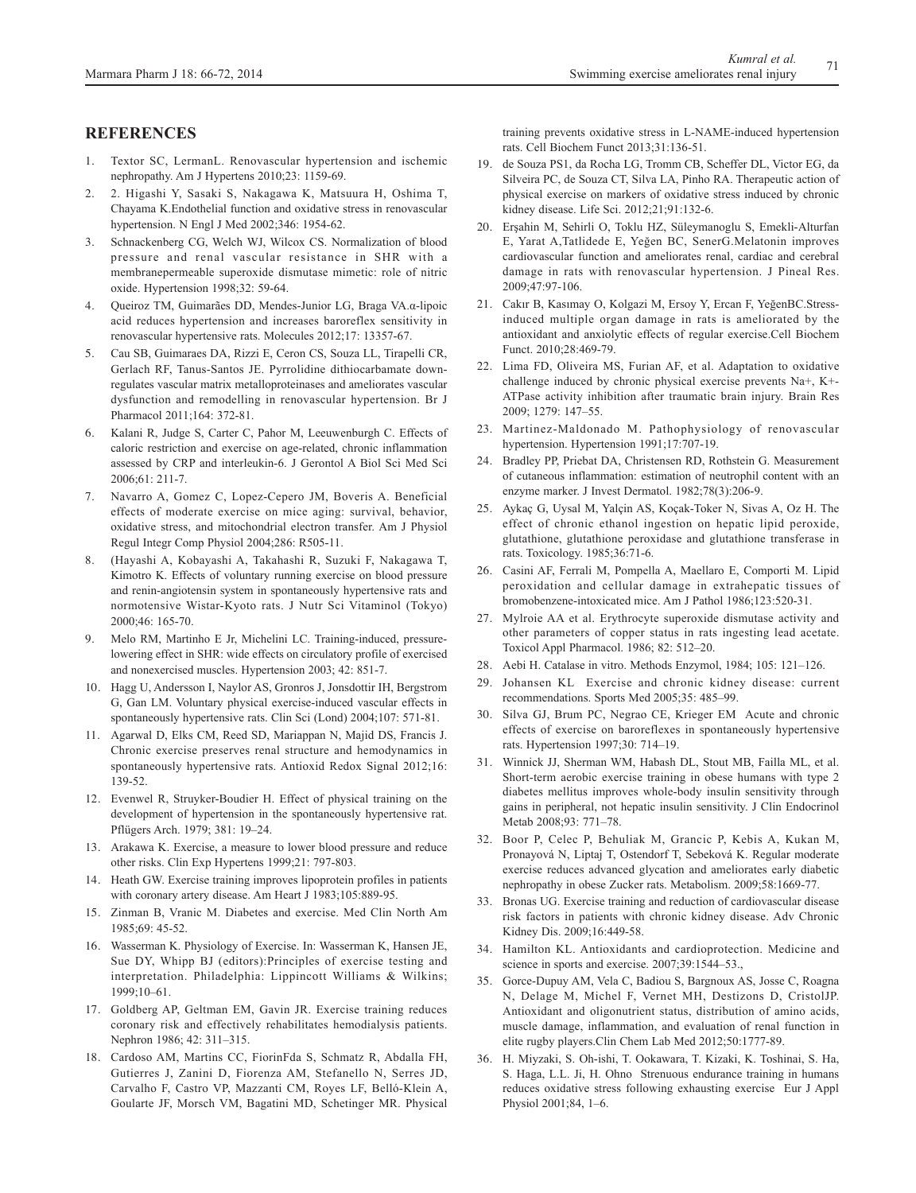# **REFERENCES**

- 1. Textor SC, LermanL. Renovascular hypertension and ischemic nephropathy. Am J Hypertens 2010;23: 1159-69.
- 2. 2. Higashi Y, Sasaki S, Nakagawa K, Matsuura H, Oshima T, Chayama K.Endothelial function and oxidative stress in renovascular hypertension. N Engl J Med 2002;346: 1954-62.
- 3. Schnackenberg CG, Welch WJ, Wilcox CS. Normalization of blood pressure and renal vascular resistance in SHR with a membranepermeable superoxide dismutase mimetic: role of nitric oxide. Hypertension 1998;32: 59-64.
- 4. Queiroz TM, Guimarães DD, Mendes-Junior LG, Braga VA.α-lipoic acid reduces hypertension and increases baroreflex sensitivity in renovascular hypertensive rats. Molecules 2012;17: 13357-67.
- 5. Cau SB, Guimaraes DA, Rizzi E, Ceron CS, Souza LL, Tirapelli CR, Gerlach RF, Tanus-Santos JE. Pyrrolidine dithiocarbamate downregulates vascular matrix metalloproteinases and ameliorates vascular dysfunction and remodelling in renovascular hypertension. Br J Pharmacol 2011;164: 372-81.
- Kalani R, Judge S, Carter C, Pahor M, Leeuwenburgh C. Effects of caloric restriction and exercise on age-related, chronic inflammation assessed by CRP and interleukin-6. J Gerontol A Biol Sci Med Sci 2006;61: 211-7.
- 7. Navarro A, Gomez C, Lopez-Cepero JM, Boveris A. Beneficial effects of moderate exercise on mice aging: survival, behavior, oxidative stress, and mitochondrial electron transfer. Am J Physiol Regul Integr Comp Physiol 2004;286: R505-11.
- 8. (Hayashi A, Kobayashi A, Takahashi R, Suzuki F, Nakagawa T, Kimotro K. Effects of voluntary running exercise on blood pressure and renin-angiotensin system in spontaneously hypertensive rats and normotensive Wistar-Kyoto rats. J Nutr Sci Vitaminol (Tokyo) 2000;46: 165-70.
- 9. Melo RM, Martinho E Jr, Michelini LC. Training-induced, pressurelowering effect in SHR: wide effects on circulatory profile of exercised and nonexercised muscles. Hypertension 2003; 42: 851-7.
- 10. Hagg U, Andersson I, Naylor AS, Gronros J, Jonsdottir IH, Bergstrom G, Gan LM. Voluntary physical exercise-induced vascular effects in spontaneously hypertensive rats. Clin Sci (Lond) 2004;107: 571-81.
- 11. Agarwal D, Elks CM, Reed SD, Mariappan N, Majid DS, Francis J. Chronic exercise preserves renal structure and hemodynamics in spontaneously hypertensive rats. Antioxid Redox Signal 2012;16: 139-52.
- 12. Evenwel R, Struyker-Boudier H. Effect of physical training on the development of hypertension in the spontaneously hypertensive rat. Pflügers Arch. 1979; 381: 19–24.
- 13. Arakawa K. Exercise, a measure to lower blood pressure and reduce other risks. Clin Exp Hypertens 1999;21: 797-803.
- 14. Heath GW. Exercise training improves lipoprotein profiles in patients with coronary artery disease. Am Heart J 1983;105:889-95.
- 15. Zinman B, Vranic M. Diabetes and exercise. Med Clin North Am 1985;69: 45-52.
- 16. Wasserman K. Physiology of Exercise. In: Wasserman K, Hansen JE, Sue DY, Whipp BJ (editors):Principles of exercise testing and interpretation. Philadelphia: Lippincott Williams & Wilkins; 1999;10–61.
- 17. Goldberg AP, Geltman EM, Gavin JR. Exercise training reduces coronary risk and effectively rehabilitates hemodialysis patients. Nephron 1986; 42: 311–315.
- 18. Cardoso AM, Martins CC, FiorinFda S, Schmatz R, Abdalla FH, Gutierres J, Zanini D, Fiorenza AM, Stefanello N, Serres JD, Carvalho F, Castro VP, Mazzanti CM, Royes LF, Belló-Klein A, Goularte JF, Morsch VM, Bagatini MD, Schetinger MR. Physical

training prevents oxidative stress in L-NAME-induced hypertension rats. Cell Biochem Funct 2013;31:136-51.

- 19. de Souza PS1, da Rocha LG, Tromm CB, Scheffer DL, Victor EG, da Silveira PC, de Souza CT, Silva LA, Pinho RA. Therapeutic action of physical exercise on markers of oxidative stress induced by chronic kidney disease. Life Sci. 2012;21;91:132-6.
- 20. Erşahin M, Sehirli O, Toklu HZ, Süleymanoglu S, Emekli-Alturfan E, Yarat A,Tatlidede E, Yeğen BC, SenerG.Melatonin improves cardiovascular function and ameliorates renal, cardiac and cerebral damage in rats with renovascular hypertension. J Pineal Res. 2009;47:97-106.
- 21. Cakır B, Kasımay O, Kolgazi M, Ersoy Y, Ercan F, YeğenBC.Stressinduced multiple organ damage in rats is ameliorated by the antioxidant and anxiolytic effects of regular exercise.Cell Biochem Funct. 2010;28:469-79.
- 22. Lima FD, Oliveira MS, Furian AF, et al. Adaptation to oxidative challenge induced by chronic physical exercise prevents Na+, K+- ATPase activity inhibition after traumatic brain injury. Brain Res 2009; 1279: 147–55.
- 23. Martinez-Maldonado M. Pathophysiology of renovascular hypertension. Hypertension 1991;17:707-19.
- 24. Bradley PP, Priebat DA, Christensen RD, Rothstein G. Measurement of cutaneous inflammation: estimation of neutrophil content with an enzyme marker. J Invest Dermatol. 1982;78(3):206-9.
- 25. Aykaç G, Uysal M, Yalçin AS, Koçak-Toker N, Sivas A, Oz H. The effect of chronic ethanol ingestion on hepatic lipid peroxide, glutathione, glutathione peroxidase and glutathione transferase in rats. Toxicology. 1985;36:71-6.
- 26. Casini AF, Ferrali M, Pompella A, Maellaro E, Comporti M. Lipid peroxidation and cellular damage in extrahepatic tissues of bromobenzene-intoxicated mice. Am J Pathol 1986;123:520-31.
- 27. Mylroie AA et al. Erythrocyte superoxide dismutase activity and other parameters of copper status in rats ingesting lead acetate. Toxicol Appl Pharmacol. 1986; 82: 512–20.
- 28. Aebi H. Catalase in vitro. Methods Enzymol, 1984; 105: 121–126.
- 29. Johansen KL Exercise and chronic kidney disease: current recommendations. Sports Med 2005;35: 485–99.
- 30. Silva GJ, Brum PC, Negrao CE, Krieger EM Acute and chronic effects of exercise on baroreflexes in spontaneously hypertensive rats. Hypertension 1997;30: 714–19.
- 31. Winnick JJ, Sherman WM, Habash DL, Stout MB, Failla ML, et al. Short-term aerobic exercise training in obese humans with type 2 diabetes mellitus improves whole-body insulin sensitivity through gains in peripheral, not hepatic insulin sensitivity. J Clin Endocrinol Metab 2008;93: 771–78.
- 32. Boor P, Celec P, Behuliak M, Grancic P, Kebis A, Kukan M, Pronayová N, Liptaj T, Ostendorf T, Sebeková K. Regular moderate exercise reduces advanced glycation and ameliorates early diabetic nephropathy in obese Zucker rats. Metabolism. 2009;58:1669-77.
- 33. Bronas UG. Exercise training and reduction of cardiovascular disease risk factors in patients with chronic kidney disease. Adv Chronic Kidney Dis. 2009;16:449-58.
- 34. Hamilton KL. Antioxidants and cardioprotection. Medicine and science in sports and exercise. 2007;39:1544–53.,
- 35. Gorce-Dupuy AM, Vela C, Badiou S, Bargnoux AS, Josse C, Roagna N, Delage M, Michel F, Vernet MH, Destizons D, CristolJP. Antioxidant and oligonutrient status, distribution of amino acids, muscle damage, inflammation, and evaluation of renal function in elite rugby players.Clin Chem Lab Med 2012;50:1777-89.
- 36. H. Miyzaki, S. Oh-ishi, T. Ookawara, T. Kizaki, K. Toshinai, S. Ha, S. Haga, L.L. Ji, H. Ohno Strenuous endurance training in humans reduces oxidative stress following exhausting exercise Eur J Appl Physiol 2001;84, 1–6.